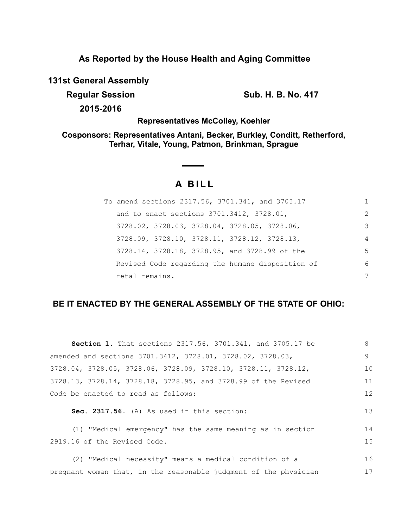**As Reported by the House Health and Aging Committee**

**131st General Assembly**

**Regular Session Sub. H. B. No. 417** 

**2015-2016**

**Representatives McColley, Koehler**

**Cosponsors: Representatives Antani, Becker, Burkley, Conditt, Retherford, Terhar, Vitale, Young, Patmon, Brinkman, Sprague**

## **A B I L L**

|                |  | To amend sections 2317.56, 3701.341, and 3705.17            | 1.             |
|----------------|--|-------------------------------------------------------------|----------------|
|                |  | and to enact sections 3701.3412, 3728.01,                   | $\mathcal{P}$  |
|                |  | 3728.02, 3728.03, 3728.04, 3728.05, 3728.06,                | 3              |
|                |  | $3728.09$ , $3728.10$ , $3728.11$ , $3728.12$ , $3728.13$ , | $\overline{4}$ |
|                |  | 3728.14, 3728.18, 3728.95, and 3728.99 of the               | 5              |
|                |  | Revised Code regarding the humane disposition of            | 6              |
| fetal remains. |  |                                                             | 7              |

## **BE IT ENACTED BY THE GENERAL ASSEMBLY OF THE STATE OF OHIO:**

| <b>Section 1.</b> That sections 2317.56, 3701.341, and 3705.17 be                   | 8  |
|-------------------------------------------------------------------------------------|----|
| amended and sections 3701.3412, 3728.01, 3728.02, 3728.03,                          | 9  |
| $3728.04$ , $3728.05$ , $3728.06$ , $3728.09$ , $3728.10$ , $3728.11$ , $3728.12$ , | 10 |
| 3728.13, 3728.14, 3728.18, 3728.95, and 3728.99 of the Revised                      | 11 |
| Code be enacted to read as follows:                                                 | 12 |
| Sec. 2317.56. (A) As used in this section:                                          | 13 |
| (1) "Medical emergency" has the same meaning as in section                          | 14 |
| 2919.16 of the Revised Code.                                                        | 15 |
| (2) "Medical necessity" means a medical condition of a                              | 16 |
| pregnant woman that, in the reasonable judgment of the physician                    | 17 |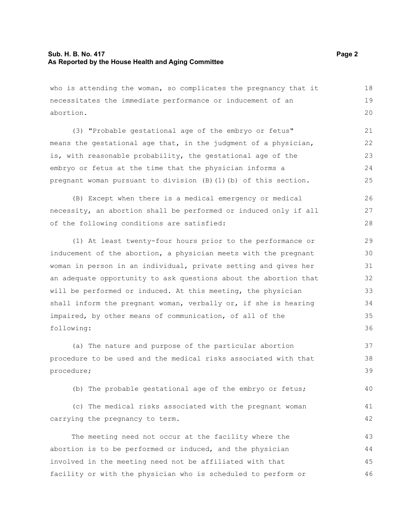#### **Sub. H. B. No. 417 Page 2 As Reported by the House Health and Aging Committee**

who is attending the woman, so complicates the pregnancy that it necessitates the immediate performance or inducement of an abortion. 18 19  $20$ 

(3) "Probable gestational age of the embryo or fetus" means the gestational age that, in the judgment of a physician, is, with reasonable probability, the gestational age of the embryo or fetus at the time that the physician informs a pregnant woman pursuant to division (B)(1)(b) of this section. 21 22 23  $24$ 25

(B) Except when there is a medical emergency or medical necessity, an abortion shall be performed or induced only if all of the following conditions are satisfied:

(1) At least twenty-four hours prior to the performance or inducement of the abortion, a physician meets with the pregnant woman in person in an individual, private setting and gives her an adequate opportunity to ask questions about the abortion that will be performed or induced. At this meeting, the physician shall inform the pregnant woman, verbally or, if she is hearing impaired, by other means of communication, of all of the following:

(a) The nature and purpose of the particular abortion procedure to be used and the medical risks associated with that procedure; 37 38 39

(b) The probable gestational age of the embryo or fetus; 40

(c) The medical risks associated with the pregnant woman carrying the pregnancy to term.

The meeting need not occur at the facility where the abortion is to be performed or induced, and the physician involved in the meeting need not be affiliated with that facility or with the physician who is scheduled to perform or 43 44 45 46

26 27 28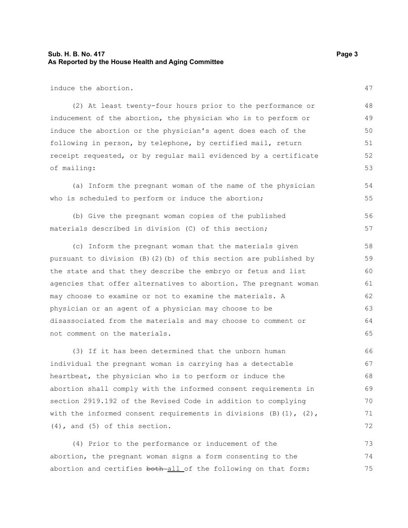#### **Sub. H. B. No. 417 Page 3 As Reported by the House Health and Aging Committee**

induce the abortion.

(2) At least twenty-four hours prior to the performance or inducement of the abortion, the physician who is to perform or induce the abortion or the physician's agent does each of the following in person, by telephone, by certified mail, return receipt requested, or by regular mail evidenced by a certificate of mailing: 49 50 51 52 53

(a) Inform the pregnant woman of the name of the physician who is scheduled to perform or induce the abortion; 54 55

(b) Give the pregnant woman copies of the published materials described in division (C) of this section; 56 57

(c) Inform the pregnant woman that the materials given pursuant to division (B)(2)(b) of this section are published by the state and that they describe the embryo or fetus and list agencies that offer alternatives to abortion. The pregnant woman may choose to examine or not to examine the materials. A physician or an agent of a physician may choose to be disassociated from the materials and may choose to comment or not comment on the materials.

(3) If it has been determined that the unborn human individual the pregnant woman is carrying has a detectable heartbeat, the physician who is to perform or induce the abortion shall comply with the informed consent requirements in section 2919.192 of the Revised Code in addition to complying with the informed consent requirements in divisions  $(B)(1)$ ,  $(2)$ , (4), and (5) of this section. 66 67 68 69 70 71 72

(4) Prior to the performance or inducement of the abortion, the pregnant woman signs a form consenting to the abortion and certifies both all of the following on that form: 73 74 75

47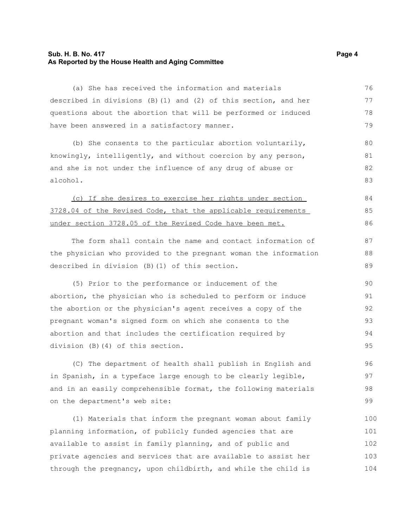#### **Sub. H. B. No. 417 Page 4 As Reported by the House Health and Aging Committee**

(a) She has received the information and materials described in divisions (B)(1) and (2) of this section, and her questions about the abortion that will be performed or induced have been answered in a satisfactory manner. 76 77 78 79

(b) She consents to the particular abortion voluntarily, knowingly, intelligently, and without coercion by any person, and she is not under the influence of any drug of abuse or alcohol.

(c) If she desires to exercise her rights under section 3728.04 of the Revised Code, that the applicable requirements under section 3728.05 of the Revised Code have been met. 84 85 86

The form shall contain the name and contact information of the physician who provided to the pregnant woman the information described in division (B)(1) of this section.

(5) Prior to the performance or inducement of the abortion, the physician who is scheduled to perform or induce the abortion or the physician's agent receives a copy of the pregnant woman's signed form on which she consents to the abortion and that includes the certification required by division (B)(4) of this section.

(C) The department of health shall publish in English and in Spanish, in a typeface large enough to be clearly legible, and in an easily comprehensible format, the following materials on the department's web site: 96 97 98 99

(1) Materials that inform the pregnant woman about family planning information, of publicly funded agencies that are available to assist in family planning, and of public and private agencies and services that are available to assist her through the pregnancy, upon childbirth, and while the child is 100 101 102 103 104

87 88 89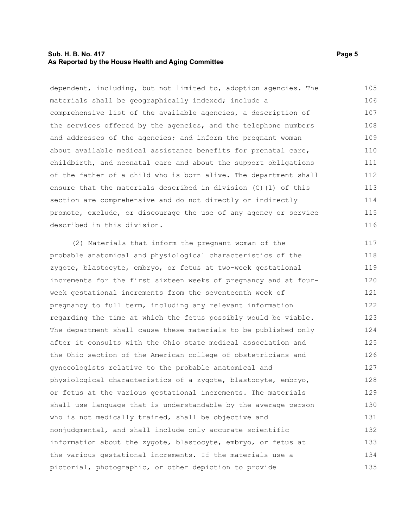#### **Sub. H. B. No. 417 Page 5 As Reported by the House Health and Aging Committee**

dependent, including, but not limited to, adoption agencies. The materials shall be geographically indexed; include a comprehensive list of the available agencies, a description of the services offered by the agencies, and the telephone numbers and addresses of the agencies; and inform the pregnant woman about available medical assistance benefits for prenatal care, childbirth, and neonatal care and about the support obligations of the father of a child who is born alive. The department shall ensure that the materials described in division (C)(1) of this section are comprehensive and do not directly or indirectly promote, exclude, or discourage the use of any agency or service described in this division. 105 106 107 108 109 110 111 112 113 114 115 116

(2) Materials that inform the pregnant woman of the probable anatomical and physiological characteristics of the zygote, blastocyte, embryo, or fetus at two-week gestational increments for the first sixteen weeks of pregnancy and at fourweek gestational increments from the seventeenth week of pregnancy to full term, including any relevant information regarding the time at which the fetus possibly would be viable. The department shall cause these materials to be published only after it consults with the Ohio state medical association and the Ohio section of the American college of obstetricians and gynecologists relative to the probable anatomical and physiological characteristics of a zygote, blastocyte, embryo, or fetus at the various gestational increments. The materials shall use language that is understandable by the average person who is not medically trained, shall be objective and nonjudgmental, and shall include only accurate scientific information about the zygote, blastocyte, embryo, or fetus at the various gestational increments. If the materials use a pictorial, photographic, or other depiction to provide 117 118 119 120 121 122 123 124 125 126 127 128 129 130 131 132 133 134 135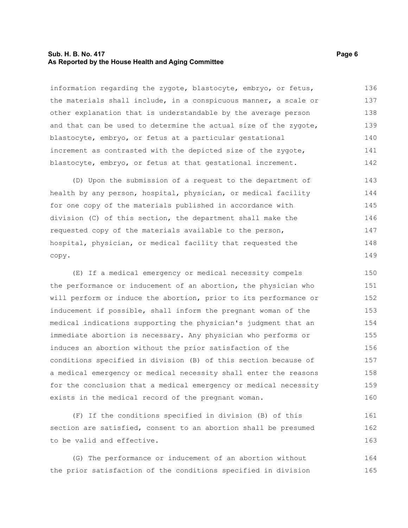#### **Sub. H. B. No. 417 Page 6 As Reported by the House Health and Aging Committee**

information regarding the zygote, blastocyte, embryo, or fetus, the materials shall include, in a conspicuous manner, a scale or other explanation that is understandable by the average person and that can be used to determine the actual size of the zygote, blastocyte, embryo, or fetus at a particular gestational increment as contrasted with the depicted size of the zygote, blastocyte, embryo, or fetus at that gestational increment. 136 137 138 139 140 141 142

(D) Upon the submission of a request to the department of health by any person, hospital, physician, or medical facility for one copy of the materials published in accordance with division (C) of this section, the department shall make the requested copy of the materials available to the person, hospital, physician, or medical facility that requested the copy. 143 144 145 146 147 148 149

(E) If a medical emergency or medical necessity compels the performance or inducement of an abortion, the physician who will perform or induce the abortion, prior to its performance or inducement if possible, shall inform the pregnant woman of the medical indications supporting the physician's judgment that an immediate abortion is necessary. Any physician who performs or induces an abortion without the prior satisfaction of the conditions specified in division (B) of this section because of a medical emergency or medical necessity shall enter the reasons for the conclusion that a medical emergency or medical necessity exists in the medical record of the pregnant woman. 150 151 152 153 154 155 156 157 158 159 160

(F) If the conditions specified in division (B) of this section are satisfied, consent to an abortion shall be presumed to be valid and effective. 161 162 163

(G) The performance or inducement of an abortion without the prior satisfaction of the conditions specified in division 164 165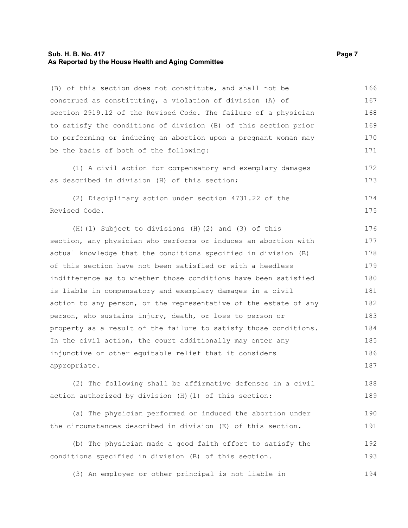#### **Sub. H. B. No. 417 Page 7 As Reported by the House Health and Aging Committee**

(B) of this section does not constitute, and shall not be construed as constituting, a violation of division (A) of section 2919.12 of the Revised Code. The failure of a physician to satisfy the conditions of division (B) of this section prior to performing or inducing an abortion upon a pregnant woman may be the basis of both of the following: 166 167 168 169 170 171

(1) A civil action for compensatory and exemplary damages as described in division (H) of this section;

(2) Disciplinary action under section 4731.22 of the Revised Code. 174 175

(H)(1) Subject to divisions (H)(2) and (3) of this section, any physician who performs or induces an abortion with actual knowledge that the conditions specified in division (B) of this section have not been satisfied or with a heedless indifference as to whether those conditions have been satisfied is liable in compensatory and exemplary damages in a civil action to any person, or the representative of the estate of any person, who sustains injury, death, or loss to person or property as a result of the failure to satisfy those conditions. In the civil action, the court additionally may enter any injunctive or other equitable relief that it considers appropriate. 176 177 178 179 180 181 182 183 184 185 186 187

(2) The following shall be affirmative defenses in a civil action authorized by division (H)(1) of this section: 188 189

(a) The physician performed or induced the abortion under the circumstances described in division (E) of this section. 190 191

(b) The physician made a good faith effort to satisfy the conditions specified in division (B) of this section. 192 193

(3) An employer or other principal is not liable in 194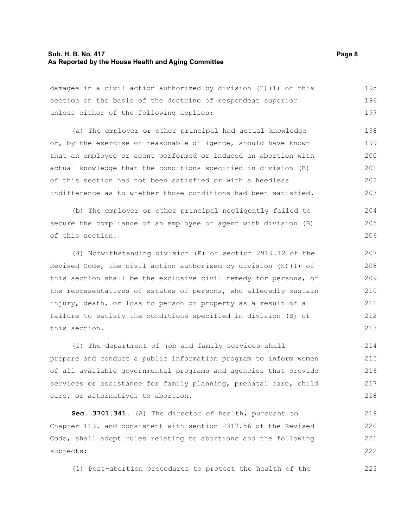#### **Sub. H. B. No. 417 Page 8 As Reported by the House Health and Aging Committee**

damages in a civil action authorized by division (H)(1) of this section on the basis of the doctrine of respondeat superior unless either of the following applies: 195 196 197

(a) The employer or other principal had actual knowledge or, by the exercise of reasonable diligence, should have known that an employee or agent performed or induced an abortion with actual knowledge that the conditions specified in division (B) of this section had not been satisfied or with a heedless indifference as to whether those conditions had been satisfied. 198 199 200 201 202 203

(b) The employer or other principal negligently failed to secure the compliance of an employee or agent with division (B) of this section. 204 205 206

(4) Notwithstanding division (E) of section 2919.12 of the Revised Code, the civil action authorized by division (H)(1) of this section shall be the exclusive civil remedy for persons, or the representatives of estates of persons, who allegedly sustain injury, death, or loss to person or property as a result of a failure to satisfy the conditions specified in division (B) of this section.

(I) The department of job and family services shall prepare and conduct a public information program to inform women of all available governmental programs and agencies that provide services or assistance for family planning, prenatal care, child care, or alternatives to abortion. 214 215 216 217 218

**Sec. 3701.341.** (A) The director of health, pursuant to Chapter 119. and consistent with section 2317.56 of the Revised Code, shall adopt rules relating to abortions and the following subjects: 219 220 221 222

(1) Post-abortion procedures to protect the health of the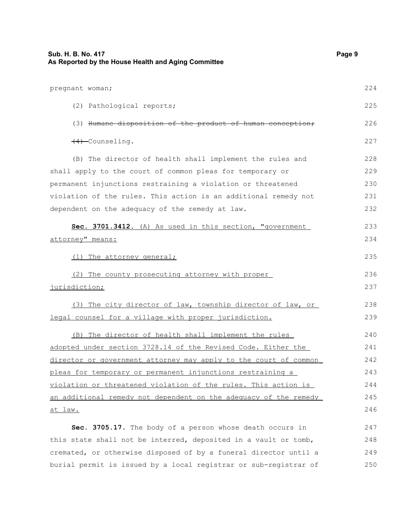| Sub. H. B. No. 417<br>As Reported by the House Health and Aging Committee | Page 9 |
|---------------------------------------------------------------------------|--------|
| pregnant woman;                                                           | 224    |
| (2) Pathological reports;                                                 | 225    |
| (3) Humane disposition of the product of human conception;                | 226    |
| $(4)$ -Counseling.                                                        | 227    |
| (B) The director of health shall implement the rules and                  | 228    |
| shall apply to the court of common pleas for temporary or                 | 229    |
| permanent injunctions restraining a violation or threatened               | 230    |
| violation of the rules. This action is an additional remedy not           | 231    |
| dependent on the adequacy of the remedy at law.                           | 232    |
| Sec. 3701.3412. (A) As used in this section, "government                  | 233    |
| attorney" means:                                                          | 234    |
| (1) The attorney general;                                                 | 235    |
| (2) The county prosecuting attorney with proper                           | 236    |
| jurisdiction;                                                             | 237    |
| (3) The city director of law, township director of law, or                | 238    |
| legal counsel for a village with proper jurisdiction.                     | 239    |
| (B) The director of health shall implement the rules                      | 240    |
| adopted under section 3728.14 of the Revised Code. Either the             | 241    |
| director or government attorney may apply to the court of common          | 242    |
| pleas for temporary or permanent injunctions restraining a                | 243    |
| violation or threatened violation of the rules. This action is            | 244    |
| an additional remedy not dependent on the adequacy of the remedy          | 245    |
| <u>at law.</u>                                                            | 246    |
| Sec. 3705.17. The body of a person whose death occurs in                  | 247    |
| this state shall not be interred, deposited in a vault or tomb,           | 248    |
| cremated, or otherwise disposed of by a funeral director until a          | 249    |

burial permit is issued by a local registrar or sub-registrar of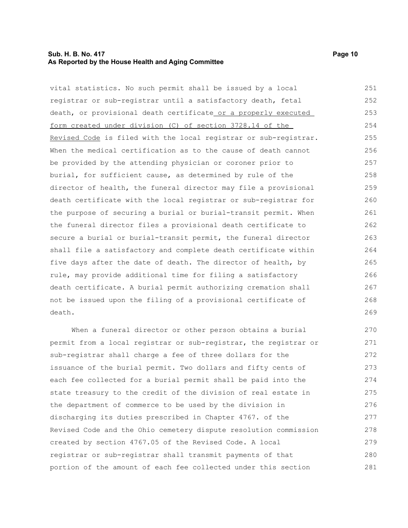#### **Sub. H. B. No. 417 Page 10 As Reported by the House Health and Aging Committee**

vital statistics. No such permit shall be issued by a local registrar or sub-registrar until a satisfactory death, fetal death, or provisional death certificate or a properly executed form created under division (C) of section 3728.14 of the Revised Code is filed with the local registrar or sub-registrar. When the medical certification as to the cause of death cannot be provided by the attending physician or coroner prior to burial, for sufficient cause, as determined by rule of the director of health, the funeral director may file a provisional death certificate with the local registrar or sub-registrar for the purpose of securing a burial or burial-transit permit. When the funeral director files a provisional death certificate to secure a burial or burial-transit permit, the funeral director shall file a satisfactory and complete death certificate within five days after the date of death. The director of health, by rule, may provide additional time for filing a satisfactory death certificate. A burial permit authorizing cremation shall not be issued upon the filing of a provisional certificate of death. 251 252 253 254 255 256 257 258 259 260 261 262 263 264 265 266 267 268 269

When a funeral director or other person obtains a burial permit from a local registrar or sub-registrar, the registrar or sub-registrar shall charge a fee of three dollars for the issuance of the burial permit. Two dollars and fifty cents of each fee collected for a burial permit shall be paid into the state treasury to the credit of the division of real estate in the department of commerce to be used by the division in discharging its duties prescribed in Chapter 4767. of the Revised Code and the Ohio cemetery dispute resolution commission created by section 4767.05 of the Revised Code. A local registrar or sub-registrar shall transmit payments of that portion of the amount of each fee collected under this section 270 271 272 273 274 275 276 277 278 279 280 281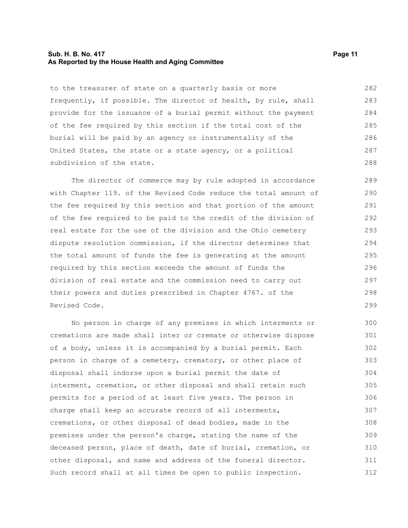#### **Sub. H. B. No. 417 Page 11 As Reported by the House Health and Aging Committee**

to the treasurer of state on a quarterly basis or more frequently, if possible. The director of health, by rule, shall provide for the issuance of a burial permit without the payment of the fee required by this section if the total cost of the burial will be paid by an agency or instrumentality of the United States, the state or a state agency, or a political subdivision of the state. 282 283 284 285 286 287 288

The director of commerce may by rule adopted in accordance with Chapter 119. of the Revised Code reduce the total amount of the fee required by this section and that portion of the amount of the fee required to be paid to the credit of the division of real estate for the use of the division and the Ohio cemetery dispute resolution commission, if the director determines that the total amount of funds the fee is generating at the amount required by this section exceeds the amount of funds the division of real estate and the commission need to carry out their powers and duties prescribed in Chapter 4767. of the Revised Code. 289 290 291 292 293 294 295 296 297 298 299

No person in charge of any premises in which interments or cremations are made shall inter or cremate or otherwise dispose of a body, unless it is accompanied by a burial permit. Each person in charge of a cemetery, crematory, or other place of disposal shall indorse upon a burial permit the date of interment, cremation, or other disposal and shall retain such permits for a period of at least five years. The person in charge shall keep an accurate record of all interments, cremations, or other disposal of dead bodies, made in the premises under the person's charge, stating the name of the deceased person, place of death, date of burial, cremation, or other disposal, and name and address of the funeral director. Such record shall at all times be open to public inspection. 300 301 302 303 304 305 306 307 308 309 310 311 312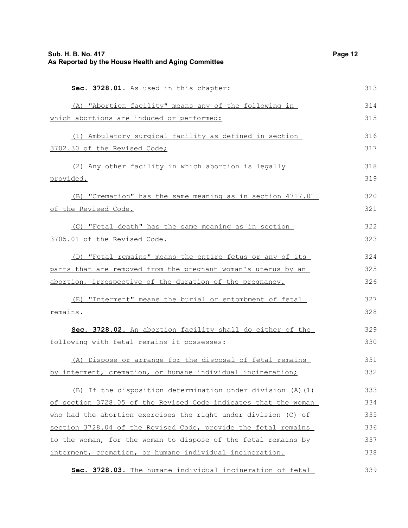**Sub. H. B. No. 417 Page 12 As Reported by the House Health and Aging Committee**

| Sec. 3728.01. As used in this chapter:                          | 313 |
|-----------------------------------------------------------------|-----|
| (A) "Abortion facility" means any of the following in           | 314 |
| which abortions are induced or performed:                       | 315 |
| (1) Ambulatory surgical facility as defined in section          | 316 |
| 3702.30 of the Revised Code;                                    | 317 |
| (2) Any other facility in which abortion is legally             | 318 |
| provided.                                                       | 319 |
| (B) "Cremation" has the same meaning as in section 4717.01      | 320 |
| of the Revised Code.                                            | 321 |
| (C) "Fetal death" has the same meaning as in section            | 322 |
| 3705.01 of the Revised Code.                                    | 323 |
| (D) "Fetal remains" means the entire fetus or any of its        | 324 |
| parts that are removed from the pregnant woman's uterus by an   | 325 |
| abortion, irrespective of the duration of the pregnancy.        | 326 |
| (E) "Interment" means the burial or entombment of fetal         | 327 |
| remains.                                                        | 328 |
| Sec. 3728.02. An abortion facility shall do either of the       | 329 |
| following with fetal remains it possesses:                      | 330 |
| (A) Dispose or arrange for the disposal of fetal remains        | 331 |
| by interment, cremation, or humane individual incineration;     | 332 |
| (B) If the disposition determination under division (A) (1)     | 333 |
| of section 3728.05 of the Revised Code indicates that the woman | 334 |
| who had the abortion exercises the right under division (C) of  | 335 |
| section 3728.04 of the Revised Code, provide the fetal remains  | 336 |
| to the woman, for the woman to dispose of the fetal remains by  | 337 |
| interment, cremation, or humane individual incineration.        | 338 |
| Sec. 3728.03. The humane individual incineration of fetal       | 339 |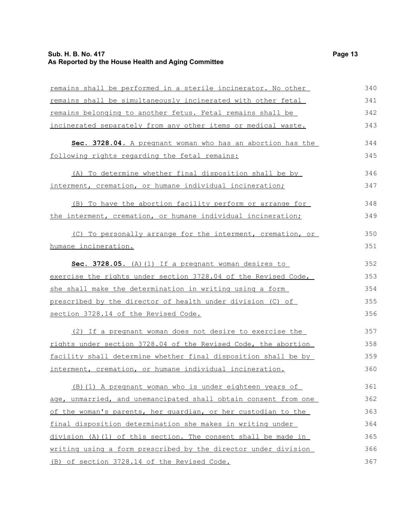## **Sub. H. B. No. 417 Page 13 As Reported by the House Health and Aging Committee**

| remains shall be performed in a sterile incinerator. No other   | 340 |
|-----------------------------------------------------------------|-----|
| remains shall be simultaneously incinerated with other fetal    | 341 |
| remains belonging to another fetus. Fetal remains shall be      | 342 |
| incinerated separately from any other items or medical waste.   | 343 |
| Sec. 3728.04. A pregnant woman who has an abortion has the      | 344 |
| following rights regarding the fetal remains:                   | 345 |
| (A) To determine whether final disposition shall be by          | 346 |
| interment, cremation, or humane individual incineration;        | 347 |
| (B) To have the abortion facility perform or arrange for        | 348 |
| the interment, cremation, or humane individual incineration;    | 349 |
| (C) To personally arrange for the interment, cremation, or      | 350 |
| humane incineration.                                            | 351 |
| Sec. 3728.05. (A) (1) If a pregnant woman desires to            | 352 |
| exercise the rights under section 3728.04 of the Revised Code,  | 353 |
| she shall make the determination in writing using a form        | 354 |
| prescribed by the director of health under division (C) of      | 355 |
| section 3728.14 of the Revised Code.                            | 356 |
| (2) If a pregnant woman does not desire to exercise the         | 357 |
| rights under section 3728.04 of the Revised Code, the abortion  | 358 |
| facility shall determine whether final disposition shall be by  | 359 |
| interment, cremation, or humane individual incineration.        | 360 |
| (B) (1) A pregnant woman who is under eighteen years of         | 361 |
| age, unmarried, and unemancipated shall obtain consent from one | 362 |
| of the woman's parents, her quardian, or her custodian to the   | 363 |
| final disposition determination she makes in writing under      | 364 |
| division (A) (1) of this section. The consent shall be made in  | 365 |
| writing using a form prescribed by the director under division  | 366 |
| (B) of section 3728.14 of the Revised Code.                     | 367 |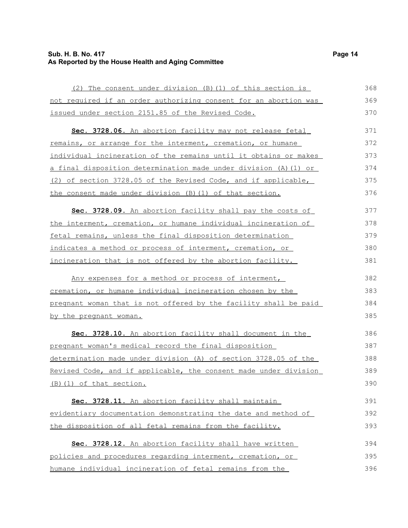### **Sub. H. B. No. 417 Page 14 As Reported by the House Health and Aging Committee**

| (2) The consent under division (B) (1) of this section is             | 368 |
|-----------------------------------------------------------------------|-----|
| not required if an order authorizing consent for an abortion was      | 369 |
| issued under section 2151.85 of the Revised Code.                     | 370 |
| Sec. 3728.06. An abortion facility may not release fetal              | 371 |
| remains, or arrange for the interment, cremation, or humane           | 372 |
| individual incineration of the remains until it obtains or makes      | 373 |
| a final disposition determination made under division (A) (1) or      | 374 |
| <u>(2) of section 3728.05 of the Revised Code, and if applicable,</u> | 375 |
| the consent made under division (B) (1) of that section.              | 376 |
| Sec. 3728.09. An abortion facility shall pay the costs of             | 377 |
| the interment, cremation, or humane individual incineration of        | 378 |
| fetal remains, unless the final disposition determination             | 379 |
| indicates a method or process of interment, cremation, or             | 380 |
| <u>incineration that is not offered by the abortion facility.</u>     | 381 |
| Any expenses for a method or process of interment,                    | 382 |
| cremation, or humane individual incineration chosen by the            | 383 |
| pregnant woman that is not offered by the facility shall be paid      | 384 |
| <u>by the pregnant woman.</u>                                         | 385 |
| Sec. 3728.10. An abortion facility shall document in the              | 386 |
| pregnant woman's medical record the final disposition                 | 387 |
| determination made under division (A) of section 3728.05 of the       | 388 |
| Revised Code, and if applicable, the consent made under division      | 389 |
| (B) (1) of that section.                                              | 390 |
| Sec. 3728.11. An abortion facility shall maintain                     | 391 |
| evidentiary documentation demonstrating the date and method of        | 392 |
| the disposition of all fetal remains from the facility.               | 393 |
| Sec. 3728.12. An abortion facility shall have written                 | 394 |
| policies and procedures regarding interment, cremation, or            | 395 |
| humane individual incineration of fetal remains from the              | 396 |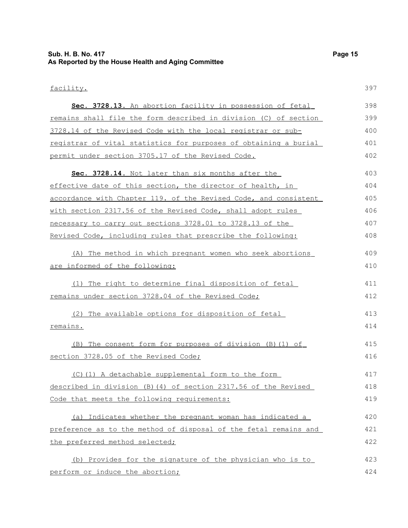#### **Sub. H. B. No. 417 Page 15 As Reported by the House Health and Aging Committee**

#### facility. **Sec. 3728.13.** An abortion facility in possession of fetal remains shall file the form described in division (C) of section 3728.14 of the Revised Code with the local registrar or subregistrar of vital statistics for purposes of obtaining a burial permit under section 3705.17 of the Revised Code. Sec. 3728.14. Not later than six months after the effective date of this section, the director of health, in accordance with Chapter 119. of the Revised Code, and consistent with section 2317.56 of the Revised Code, shall adopt rules necessary to carry out sections 3728.01 to 3728.13 of the Revised Code, including rules that prescribe the following: (A) The method in which pregnant women who seek abortions are informed of the following: (1) The right to determine final disposition of fetal remains under section 3728.04 of the Revised Code; (2) The available options for disposition of fetal remains. (B) The consent form for purposes of division (B)(1) of section 3728.05 of the Revised Code; (C)(1) A detachable supplemental form to the form described in division (B)(4) of section 2317.56 of the Revised Code that meets the following requirements: (a) Indicates whether the pregnant woman has indicated a preference as to the method of disposal of the fetal remains and the preferred method selected; (b) Provides for the signature of the physician who is to perform or induce the abortion; 397 398 399 400 401 402 403 404 405 406 407 408 409 410 411 412 413 414 415 416 417 418 419 420 421 422 423 424